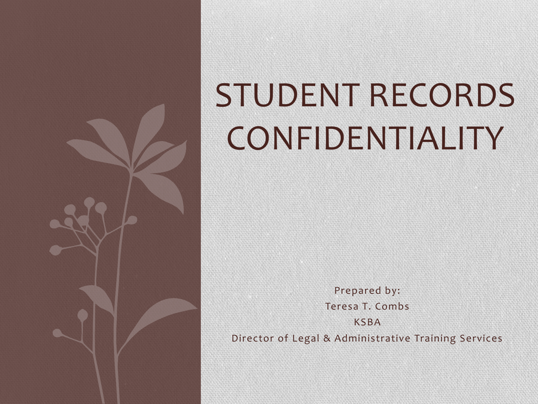

# STUDENT RECORDS **CONFIDENTIALITY**

Prepared by: Teresa T. Combs KSBA Director of Legal & Administrative Training Services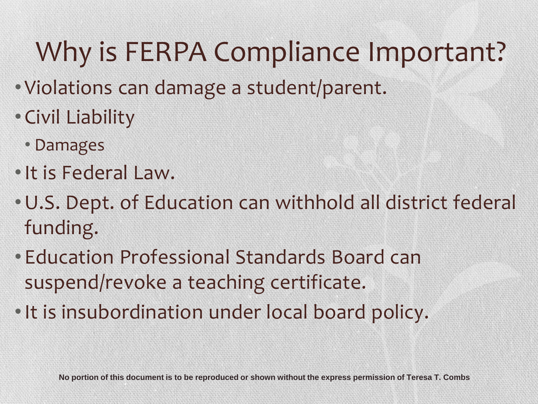# Why is FERPA Compliance Important?

- Violations can damage a student/parent.
- Civil Liability
	- Damages
- •It is Federal Law.
- •U.S. Dept. of Education can withhold all district federal funding.
- Education Professional Standards Board can suspend/revoke a teaching certificate.
- •It is insubordination under local board policy.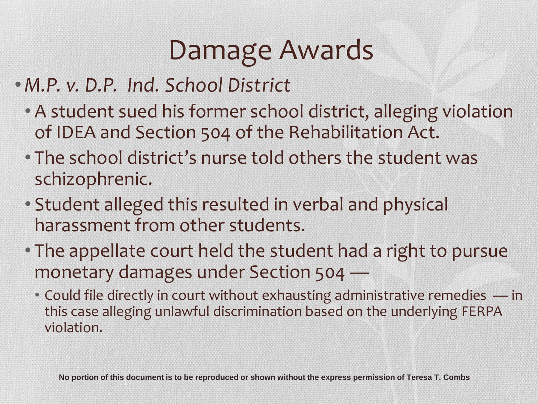# Damage Awards

- •*M.P. v. D.P. Ind. School District*
	- A student sued his former school district, alleging violation of IDEA and Section 504 of the Rehabilitation Act.
	- The school district's nurse told others the student was schizophrenic.
	- Student alleged this resulted in verbal and physical harassment from other students.
	- The appellate court held the student had a right to pursue monetary damages under Section 504 —
		- Could file directly in court without exhausting administrative remedies in this case alleging unlawful discrimination based on the underlying FERPA violation.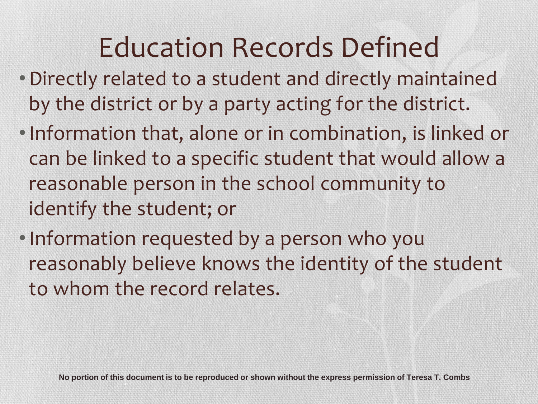## Education Records Defined

- •Directly related to a student and directly maintained by the district or by a party acting for the district.
- •Information that, alone or in combination, is linked or can be linked to a specific student that would allow a reasonable person in the school community to identify the student; or
- •Information requested by a person who you reasonably believe knows the identity of the student to whom the record relates.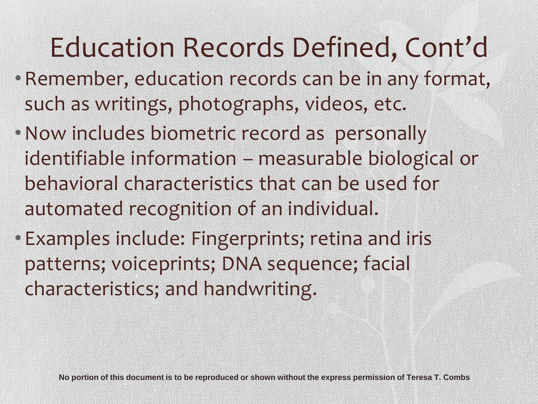# Education Records Defined, Cont'd

- •Remember, education records can be in any format, such as writings, photographs, videos, etc.
- •Now includes biometric record as personally identifiable information – measurable biological or behavioral characteristics that can be used for automated recognition of an individual.
- Examples include: Fingerprints; retina and iris patterns; voiceprints; DNA sequence; facial characteristics; and handwriting.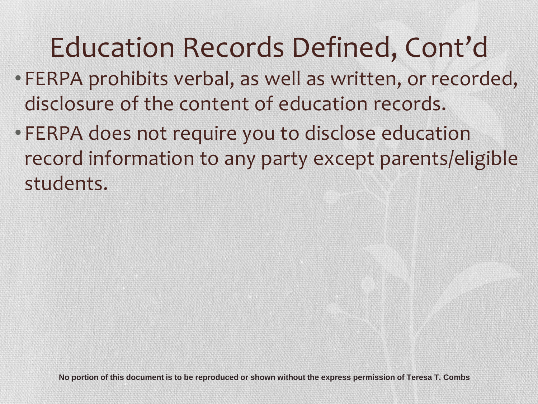# Education Records Defined, Cont'd

- FERPA prohibits verbal, as well as written, or recorded, disclosure of the content of education records.
- FERPA does not require you to disclose education record information to any party except parents/eligible students.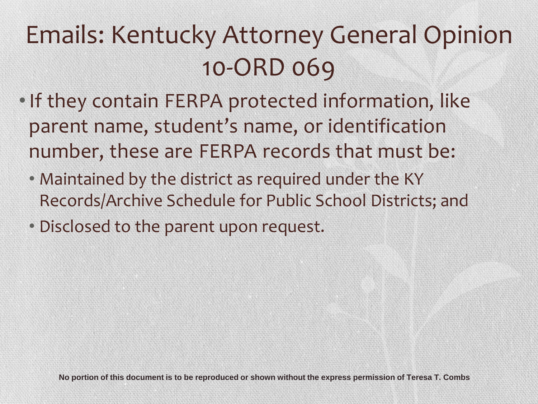### Emails: Kentucky Attorney General Opinion 10-ORD 069

- •If they contain FERPA protected information, like parent name, student's name, or identification number, these are FERPA records that must be:
	- Maintained by the district as required under the KY Records/Archive Schedule for Public School Districts; and
	- Disclosed to the parent upon request.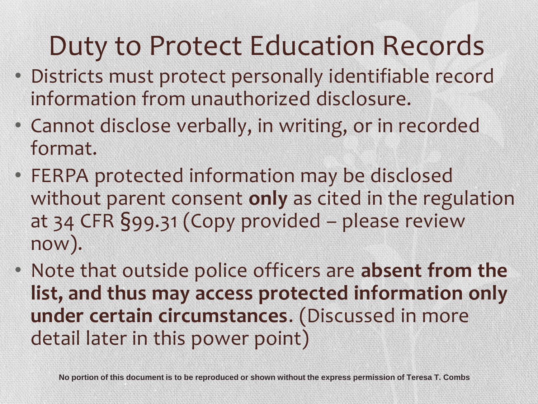### Duty to Protect Education Records

- Districts must protect personally identifiable record information from unauthorized disclosure.
- Cannot disclose verbally, in writing, or in recorded format.
- FERPA protected information may be disclosed without parent consent **only** as cited in the regulation at 34 CFR §99.31 (Copy provided – please review now).
- Note that outside police officers are **absent from the list, and thus may access protected information only under certain circumstances**. (Discussed in more detail later in this power point)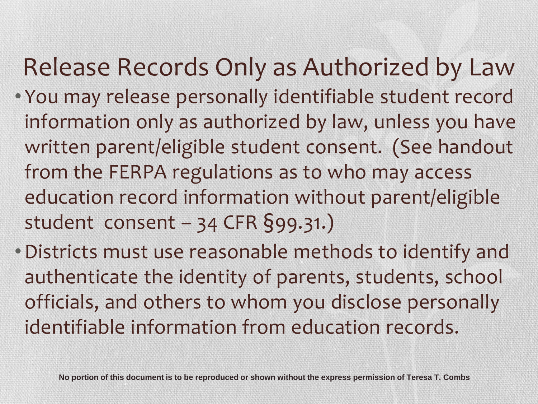#### Release Records Only as Authorized by Law

- You may release personally identifiable student record information only as authorized by law, unless you have written parent/eligible student consent. (See handout from the FERPA regulations as to who may access education record information without parent/eligible student consent – 34 CFR §99.31.)
- •Districts must use reasonable methods to identify and authenticate the identity of parents, students, school officials, and others to whom you disclose personally identifiable information from education records.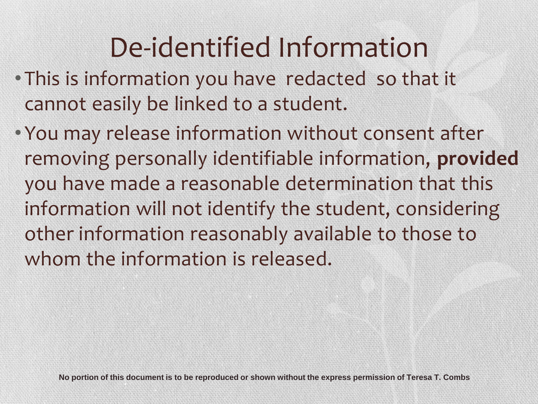# De-identified Information

- This is information you have redacted so that it cannot easily be linked to a student.
- You may release information without consent after removing personally identifiable information, **provided** you have made a reasonable determination that this information will not identify the student, considering other information reasonably available to those to whom the information is released.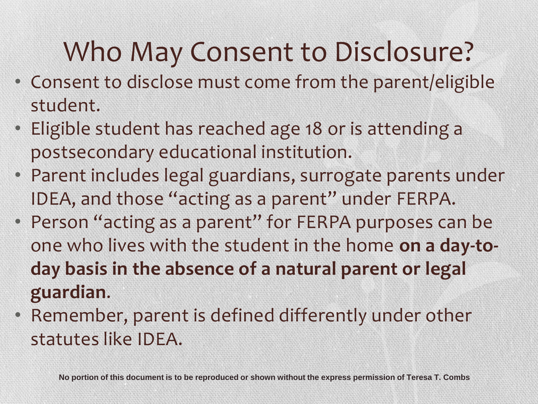# Who May Consent to Disclosure?

- Consent to disclose must come from the parent/eligible student.
- Eligible student has reached age 18 or is attending a postsecondary educational institution.
- Parent includes legal guardians, surrogate parents under IDEA, and those "acting as a parent" under FERPA.
- Person "acting as a parent" for FERPA purposes can be one who lives with the student in the home **on a day-today basis in the absence of a natural parent or legal guardian**.
- Remember, parent is defined differently under other statutes like IDEA.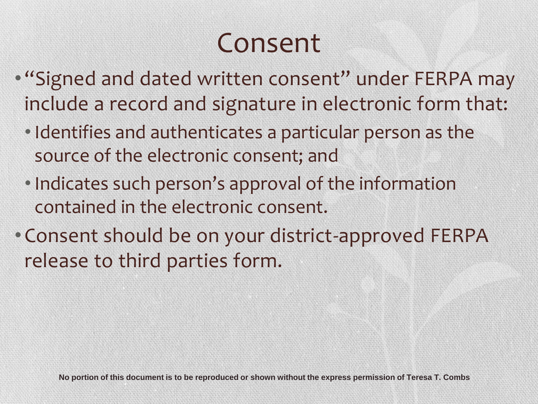### Consent

- "Signed and dated written consent" under FERPA may include a record and signature in electronic form that:
	- Identifies and authenticates a particular person as the source of the electronic consent; and
	- Indicates such person's approval of the information contained in the electronic consent.
- Consent should be on your district-approved FERPA release to third parties form.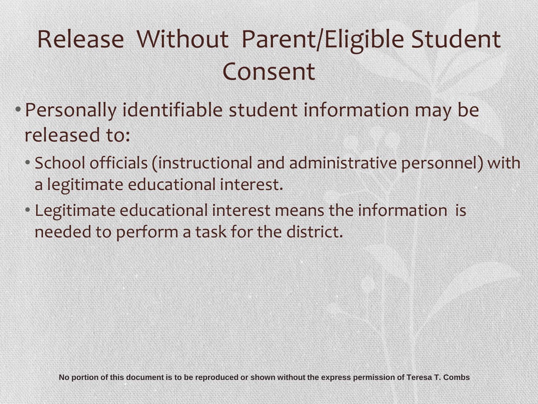### Release Without Parent/Eligible Student Consent

- Personally identifiable student information may be released to:
	- School officials (instructional and administrative personnel) with a legitimate educational interest.
	- Legitimate educational interest means the information is needed to perform a task for the district.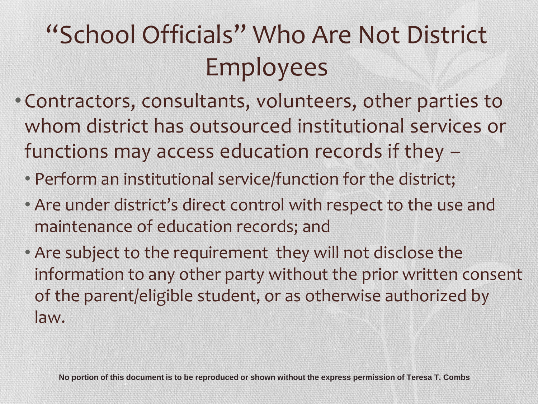### "School Officials" Who Are Not District Employees

- Contractors, consultants, volunteers, other parties to whom district has outsourced institutional services or functions may access education records if they –
	- Perform an institutional service/function for the district;
	- Are under district's direct control with respect to the use and maintenance of education records; and
	- Are subject to the requirement they will not disclose the information to any other party without the prior written consent of the parent/eligible student, or as otherwise authorized by law.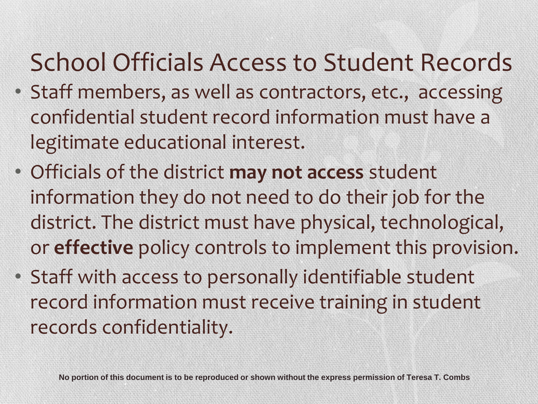#### School Officials Access to Student Records

- Staff members, as well as contractors, etc., accessing confidential student record information must have a legitimate educational interest.
- Officials of the district **may not access** student information they do not need to do their job for the district. The district must have physical, technological, or **effective** policy controls to implement this provision.
- Staff with access to personally identifiable student record information must receive training in student records confidentiality.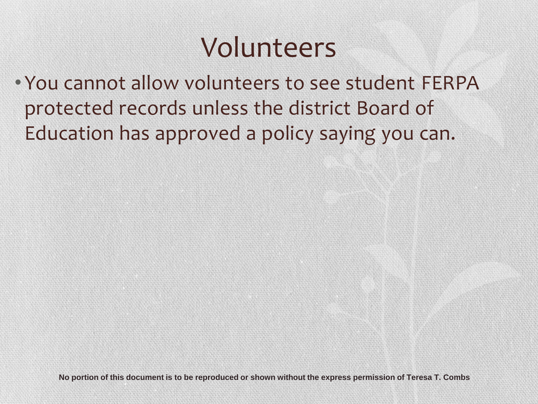#### Volunteers

• You cannot allow volunteers to see student FERPA protected records unless the district Board of Education has approved a policy saying you can.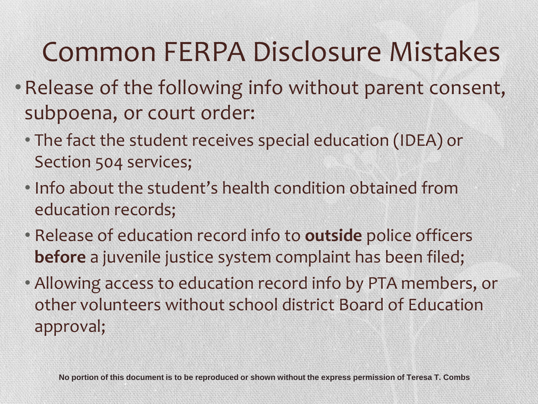# Common FERPA Disclosure Mistakes

- •Release of the following info without parent consent, subpoena, or court order:
	- The fact the student receives special education (IDEA) or Section 504 services;
	- Info about the student's health condition obtained from education records;
	- Release of education record info to **outside** police officers **before** a juvenile justice system complaint has been filed;
	- Allowing access to education record info by PTA members, or other volunteers without school district Board of Education approval;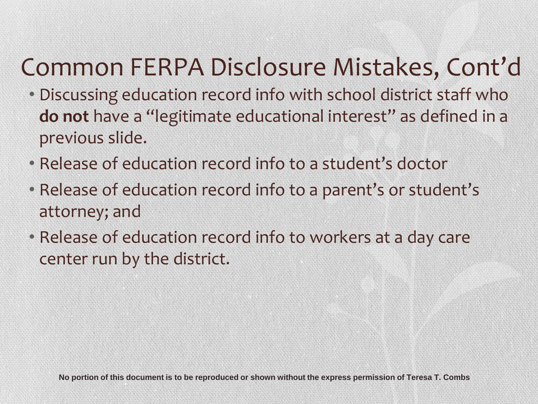#### Common FERPA Disclosure Mistakes, Cont'd

- Discussing education record info with school district staff who **do not** have a "legitimate educational interest" as defined in a previous slide.
- Release of education record info to a student's doctor
- Release of education record info to a parent's or student's attorney; and
- Release of education record info to workers at a day care center run by the district.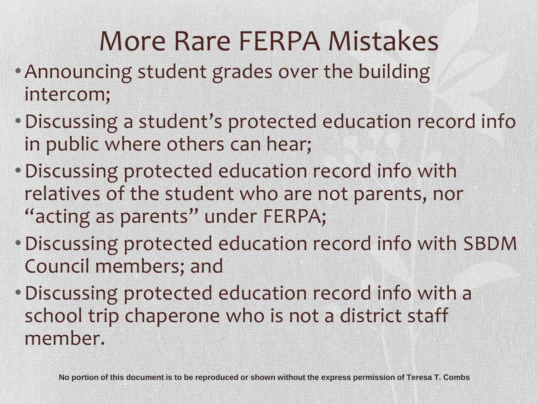# More Rare FERPA Mistakes

- •Announcing student grades over the building intercom;
- •Discussing a student's protected education record info in public where others can hear;
- •Discussing protected education record info with relatives of the student who are not parents, nor "acting as parents" under FERPA;
- •Discussing protected education record info with SBDM Council members; and
- •Discussing protected education record info with a school trip chaperone who is not a district staff member.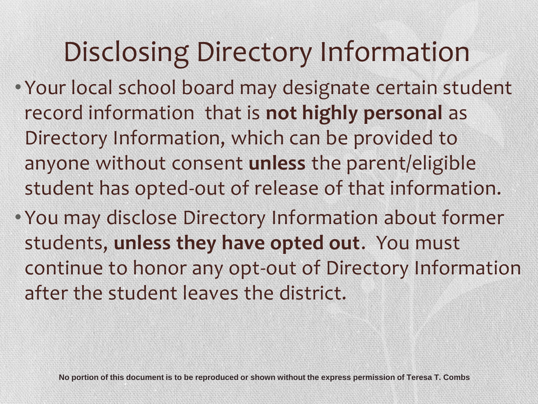# Disclosing Directory Information

- Your local school board may designate certain student record information that is **not highly personal** as Directory Information, which can be provided to anyone without consent **unless** the parent/eligible student has opted-out of release of that information.
- You may disclose Directory Information about former students, **unless they have opted out**. You must continue to honor any opt-out of Directory Information after the student leaves the district.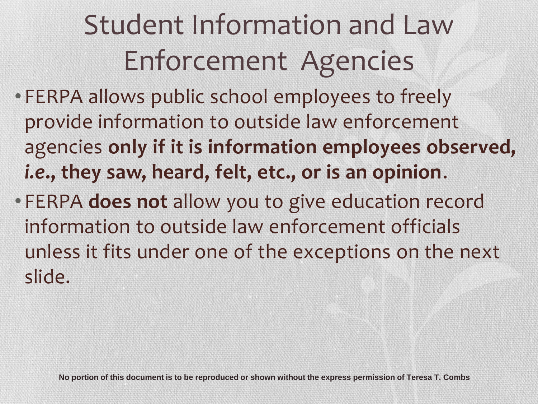# Student Information and Law Enforcement Agencies

- FERPA allows public school employees to freely provide information to outside law enforcement agencies **only if it is information employees observed,**  *i.e***., they saw, heard, felt, etc., or is an opinion**.
- FERPA **does not** allow you to give education record information to outside law enforcement officials unless it fits under one of the exceptions on the next slide.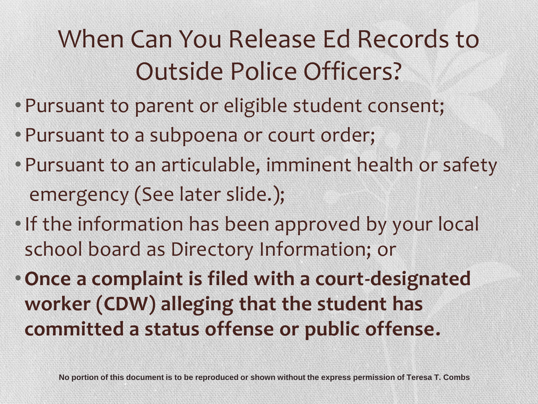### When Can You Release Ed Records to Outside Police Officers?

- Pursuant to parent or eligible student consent;
- Pursuant to a subpoena or court order;
- Pursuant to an articulable, imminent health or safety emergency (See later slide.);
- If the information has been approved by your local school board as Directory Information; or
- •**Once a complaint is filed with a court-designated worker (CDW) alleging that the student has committed a status offense or public offense.**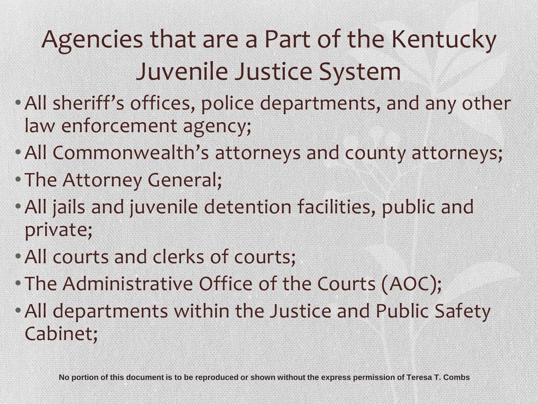### Agencies that are a Part of the Kentucky Juvenile Justice System

- •All sheriff's offices, police departments, and any other law enforcement agency;
- •All Commonwealth's attorneys and county attorneys;
- The Attorney General;
- •All jails and juvenile detention facilities, public and private;
- •All courts and clerks of courts;
- The Administrative Office of the Courts (AOC);
- •All departments within the Justice and Public Safety Cabinet;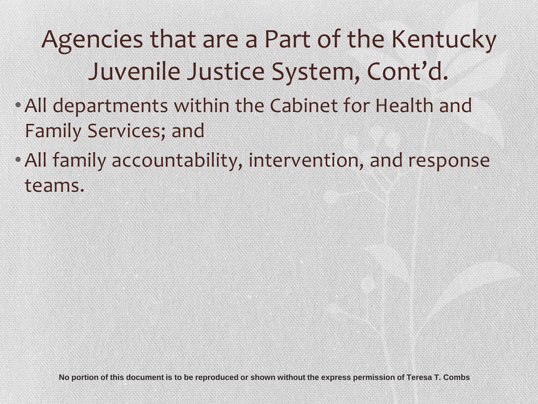### Agencies that are a Part of the Kentucky Juvenile Justice System, Cont'd.

- •All departments within the Cabinet for Health and Family Services; and
- •All family accountability, intervention, and response teams.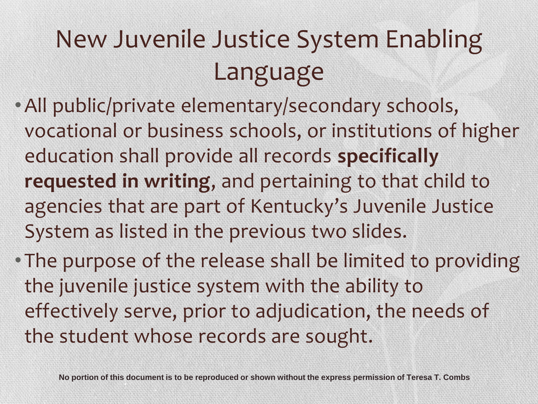### New Juvenile Justice System Enabling Language

- •All public/private elementary/secondary schools, vocational or business schools, or institutions of higher education shall provide all records **specifically requested in writing**, and pertaining to that child to agencies that are part of Kentucky's Juvenile Justice System as listed in the previous two slides.
- The purpose of the release shall be limited to providing the juvenile justice system with the ability to effectively serve, prior to adjudication, the needs of the student whose records are sought.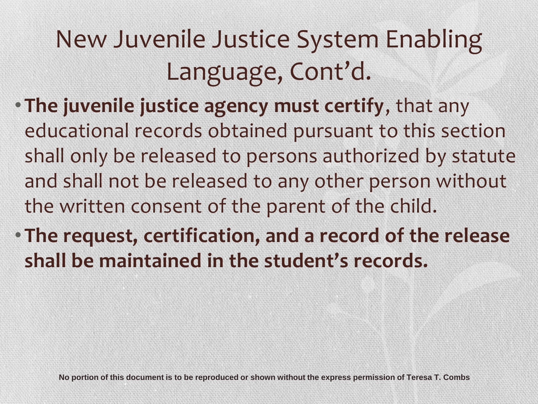### New Juvenile Justice System Enabling Language, Cont'd.

- **The juvenile justice agency must certify**, that any educational records obtained pursuant to this section shall only be released to persons authorized by statute and shall not be released to any other person without the written consent of the parent of the child.
- **The request, certification, and a record of the release shall be maintained in the student's records.**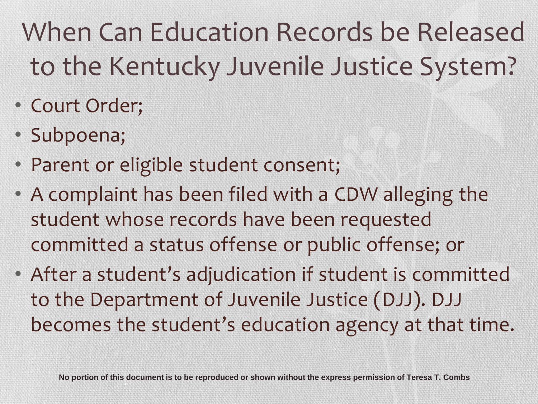# When Can Education Records be Released to the Kentucky Juvenile Justice System?

- Court Order;
- Subpoena;
- Parent or eligible student consent;
- A complaint has been filed with a CDW alleging the student whose records have been requested committed a status offense or public offense; or
- After a student's adjudication if student is committed to the Department of Juvenile Justice (DJJ). DJJ becomes the student's education agency at that time.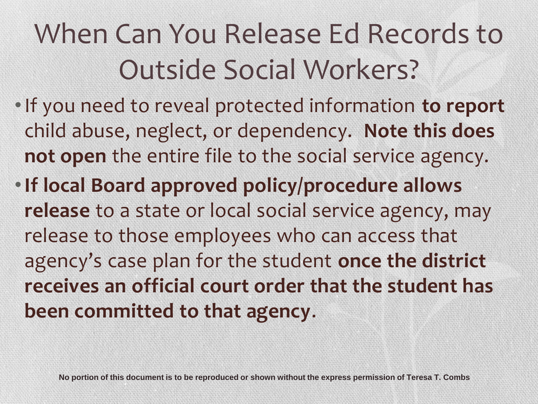# When Can You Release Ed Records to Outside Social Workers?

- •If you need to reveal protected information **to report** child abuse, neglect, or dependency. **Note this does not open** the entire file to the social service agency.
- •**If local Board approved policy/procedure allows release** to a state or local social service agency, may release to those employees who can access that agency's case plan for the student **once the district receives an official court order that the student has been committed to that agency**.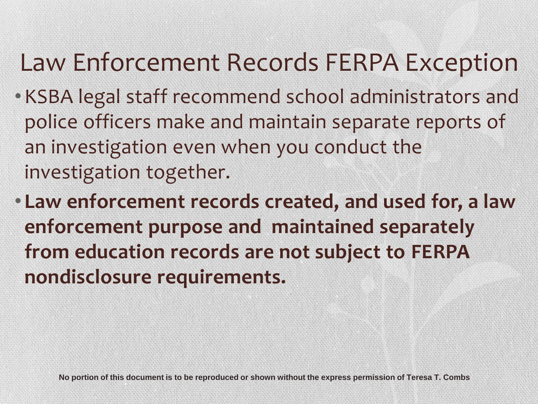#### Law Enforcement Records FERPA Exception

- •KSBA legal staff recommend school administrators and police officers make and maintain separate reports of an investigation even when you conduct the investigation together.
- **Law enforcement records created, and used for, a law enforcement purpose and maintained separately from education records are not subject to FERPA nondisclosure requirements.**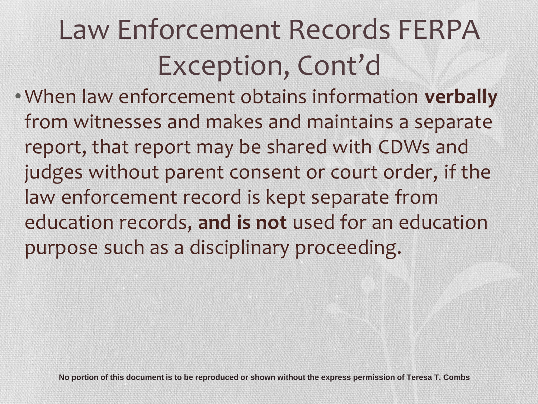# Law Enforcement Records FERPA Exception, Cont'd

•When law enforcement obtains information **verbally** from witnesses and makes and maintains a separate report, that report may be shared with CDWs and judges without parent consent or court order, if the law enforcement record is kept separate from education records, **and is not** used for an education purpose such as a disciplinary proceeding.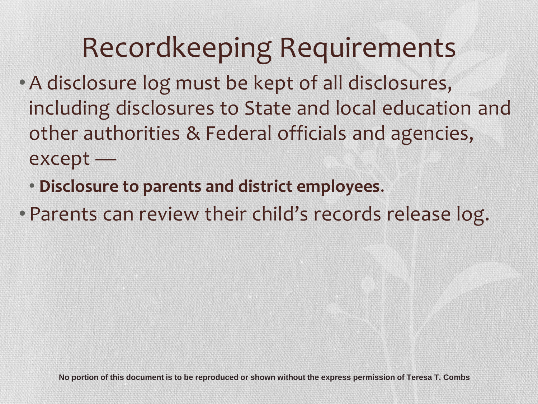### Recordkeeping Requirements

- •A disclosure log must be kept of all disclosures, including disclosures to State and local education and other authorities & Federal officials and agencies, except —
	- **Disclosure to parents and district employees**.
- Parents can review their child's records release log.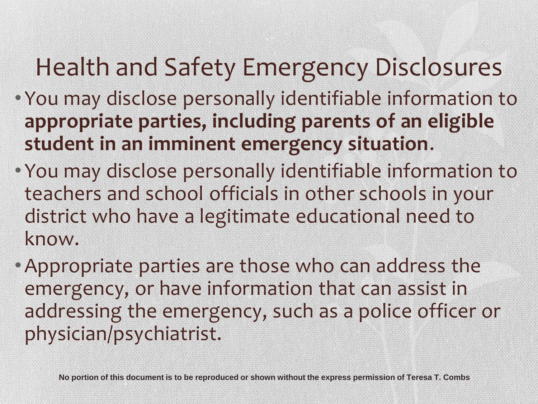#### Health and Safety Emergency Disclosures

- You may disclose personally identifiable information to **appropriate parties, including parents of an eligible student in an imminent emergency situation**.
- You may disclose personally identifiable information to teachers and school officials in other schools in your district who have a legitimate educational need to know.
- •Appropriate parties are those who can address the emergency, or have information that can assist in addressing the emergency, such as a police officer or physician/psychiatrist.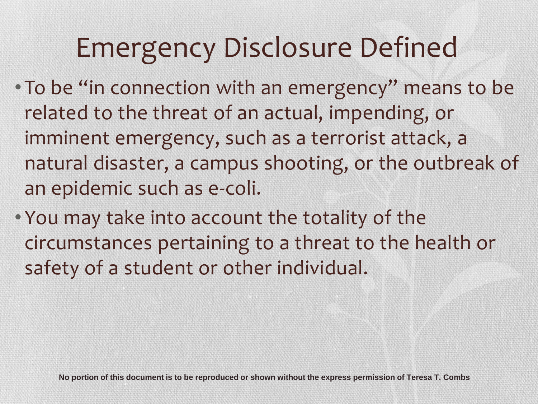# Emergency Disclosure Defined

- To be "in connection with an emergency" means to be related to the threat of an actual, impending, or imminent emergency, such as a terrorist attack, a natural disaster, a campus shooting, or the outbreak of an epidemic such as e-coli.
- You may take into account the totality of the circumstances pertaining to a threat to the health or safety of a student or other individual.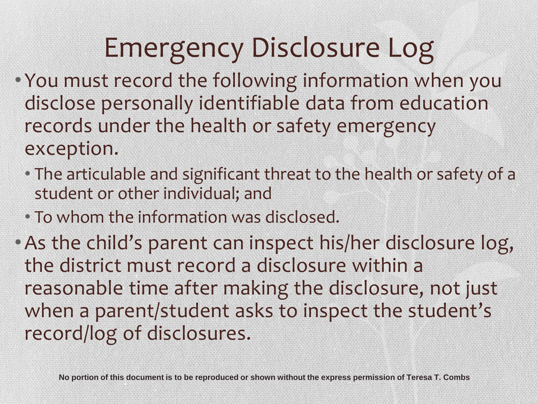# Emergency Disclosure Log

- You must record the following information when you disclose personally identifiable data from education records under the health or safety emergency exception.
	- The articulable and significant threat to the health or safety of a student or other individual; and
	- To whom the information was disclosed.
- •As the child's parent can inspect his/her disclosure log, the district must record a disclosure within a reasonable time after making the disclosure, not just when a parent/student asks to inspect the student's record/log of disclosures.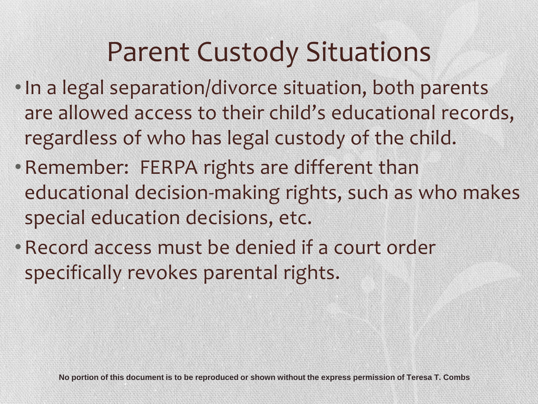#### Parent Custody Situations

- •In a legal separation/divorce situation, both parents are allowed access to their child's educational records, regardless of who has legal custody of the child.
- •Remember: FERPA rights are different than educational decision-making rights, such as who makes special education decisions, etc.
- •Record access must be denied if a court order specifically revokes parental rights.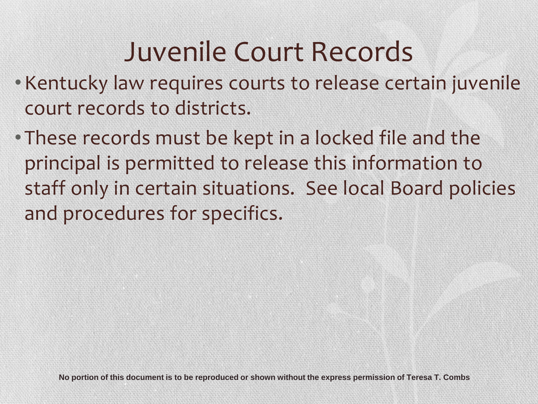### Juvenile Court Records

- •Kentucky law requires courts to release certain juvenile court records to districts.
- These records must be kept in a locked file and the principal is permitted to release this information to staff only in certain situations. See local Board policies and procedures for specifics.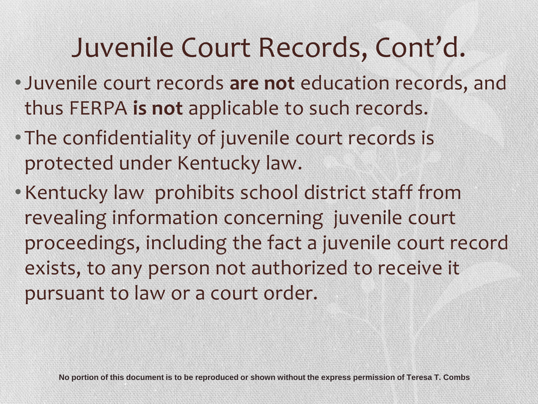### Juvenile Court Records, Cont'd.

- Juvenile court records **are not** education records, and thus FERPA **is not** applicable to such records.
- The confidentiality of juvenile court records is protected under Kentucky law.
- •Kentucky law prohibits school district staff from revealing information concerning juvenile court proceedings, including the fact a juvenile court record exists, to any person not authorized to receive it pursuant to law or a court order.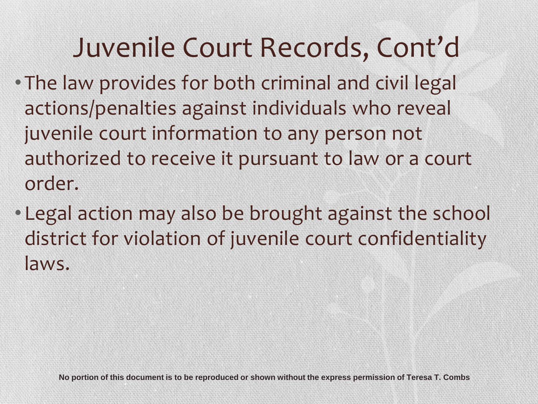### Juvenile Court Records, Cont'd

- The law provides for both criminal and civil legal actions/penalties against individuals who reveal juvenile court information to any person not authorized to receive it pursuant to law or a court order.
- Legal action may also be brought against the school district for violation of juvenile court confidentiality laws.